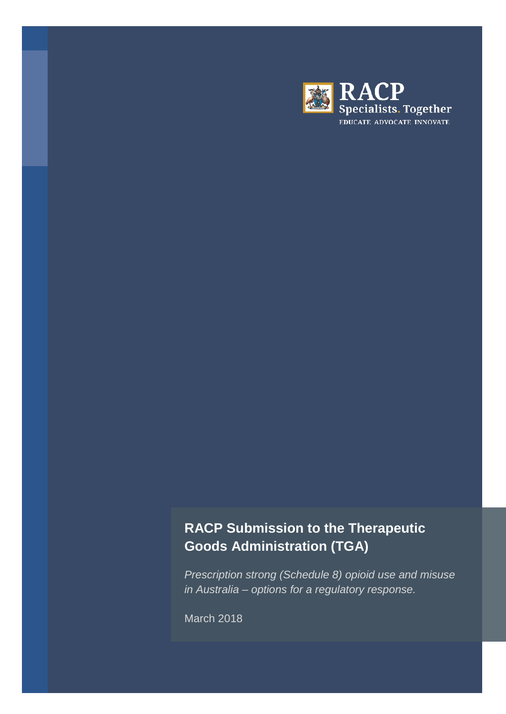

# **RACP Submission to the Therapeutic Goods Administration (TGA)**

*Prescription strong (Schedule 8) opioid use and misuse in Australia – options for a regulatory response.*

March 2018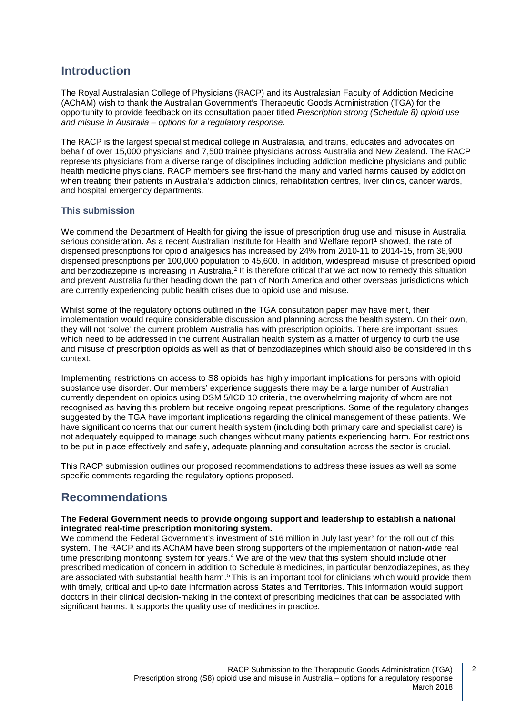# **Introduction**

The Royal Australasian College of Physicians (RACP) and its Australasian Faculty of Addiction Medicine (AChAM) wish to thank the Australian Government's Therapeutic Goods Administration (TGA) for the opportunity to provide feedback on its consultation paper titled *Prescription strong (Schedule 8) opioid use and misuse in Australia – options for a regulatory response.*

The RACP is the largest specialist medical college in Australasia, and trains, educates and advocates on behalf of over 15,000 physicians and 7,500 trainee physicians across Australia and New Zealand. The RACP represents physicians from a diverse range of disciplines including addiction medicine physicians and public health medicine physicians. RACP members see first-hand the many and varied harms caused by addiction when treating their patients in Australia's addiction clinics, rehabilitation centres, liver clinics, cancer wards, and hospital emergency departments.

### **This submission**

We commend the Department of Health for giving the issue of prescription drug use and misuse in Australia serious consideration. As a recent Australian Institute for Health and Welfare report<sup>[1](#page-8-0)</sup> showed, the rate of dispensed prescriptions for opioid analgesics has increased by 24% from 2010-11 to 2014-15, from 36,900 dispensed prescriptions per 100,000 population to 45,600. In addition, widespread misuse of prescribed opioid and benzodiazepine is increasing in Australia.<sup>[2](#page-8-1)</sup> It is therefore critical that we act now to remedy this situation and prevent Australia further heading down the path of North America and other overseas jurisdictions which are currently experiencing public health crises due to opioid use and misuse.

Whilst some of the regulatory options outlined in the TGA consultation paper may have merit, their implementation would require considerable discussion and planning across the health system. On their own, they will not 'solve' the current problem Australia has with prescription opioids. There are important issues which need to be addressed in the current Australian health system as a matter of urgency to curb the use and misuse of prescription opioids as well as that of benzodiazepines which should also be considered in this context.

Implementing restrictions on access to S8 opioids has highly important implications for persons with opioid substance use disorder. Our members' experience suggests there may be a large number of Australian currently dependent on opioids using DSM 5/ICD 10 criteria, the overwhelming majority of whom are not recognised as having this problem but receive ongoing repeat prescriptions. Some of the regulatory changes suggested by the TGA have important implications regarding the clinical management of these patients. We have significant concerns that our current health system (including both primary care and specialist care) is not adequately equipped to manage such changes without many patients experiencing harm. For restrictions to be put in place effectively and safely, adequate planning and consultation across the sector is crucial.

This RACP submission outlines our proposed recommendations to address these issues as well as some specific comments regarding the regulatory options proposed.

# **Recommendations**

#### **The Federal Government needs to provide ongoing support and leadership to establish a national integrated real-time prescription monitoring system.**

We commend the Federal Government's investment of \$16 million in July last year<sup>[3](#page-8-2)</sup> for the roll out of this system. The RACP and its AChAM have been strong supporters of the implementation of nation-wide real time prescribing monitoring system for years.[4](#page-8-3) We are of the view that this system should include other prescribed medication of concern in addition to Schedule 8 medicines, in particular benzodiazepines, as they are associated with substantial health harm.<sup>[5](#page-8-4)</sup> This is an important tool for clinicians which would provide them with timely, critical and up-to date information across States and Territories. This information would support doctors in their clinical decision-making in the context of prescribing medicines that can be associated with significant harms. It supports the quality use of medicines in practice.

 $\overline{2}$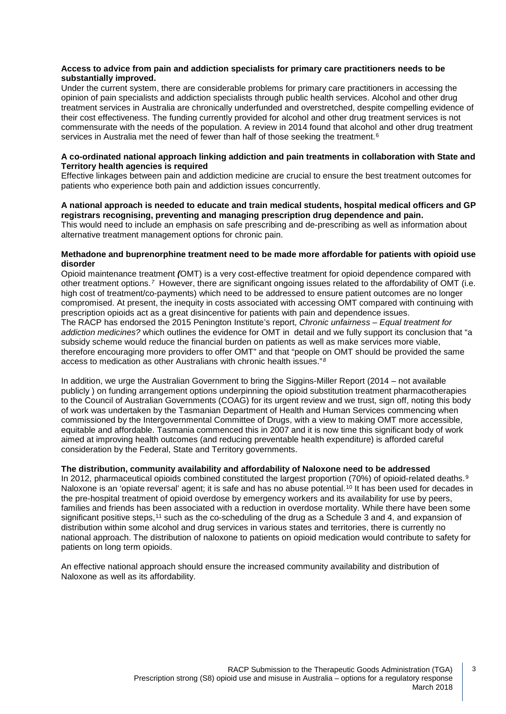#### **Access to advice from pain and addiction specialists for primary care practitioners needs to be substantially improved.**

Under the current system, there are considerable problems for primary care practitioners in accessing the opinion of pain specialists and addiction specialists through public health services. Alcohol and other drug treatment services in Australia are chronically underfunded and overstretched, despite compelling evidence of their cost effectiveness. The funding currently provided for alcohol and other drug treatment services is not commensurate with the needs of the population. A review in 2014 found that alcohol and other drug treatment services in Australia met the need of fewer than half of those seeking the treatment.<sup>[6](#page-8-5)</sup>

#### **A co-ordinated national approach linking addiction and pain treatments in collaboration with State and Territory health agencies is required**

Effective linkages between pain and addiction medicine are crucial to ensure the best treatment outcomes for patients who experience both pain and addiction issues concurrently.

#### **A national approach is needed to educate and train medical students, hospital medical officers and GP registrars recognising, preventing and managing prescription drug dependence and pain.**

This would need to include an emphasis on safe prescribing and de-prescribing as well as information about alternative treatment management options for chronic pain.

#### **Methadone and buprenorphine treatment need to be made more affordable for patients with opioid use disorder**

Opioid maintenance treatment *(*OMT) is a very cost-effective treatment for opioid dependence compared with other treatment options.*[7](#page-8-6)* However, there are significant ongoing issues related to the affordability of OMT (i.e. high cost of treatment/co-payments) which need to be addressed to ensure patient outcomes are no longer compromised. At present, the inequity in costs associated with accessing OMT compared with continuing with prescription opioids act as a great disincentive for patients with pain and dependence issues.

The RACP has endorsed the 2015 Penington Institute's report, *Chronic unfairness – Equal treatment for addiction medicines?* which outlines the evidence for OMT in detail and we fully support its conclusion that "a subsidy scheme would reduce the financial burden on patients as well as make services more viable, therefore encouraging more providers to offer OMT" and that "people on OMT should be provided the same access to medication as other Australians with chronic health issues."*[8](#page-8-7)*

In addition, we urge the Australian Government to bring the Siggins-Miller Report (2014 – not available publicly ) on funding arrangement options underpinning the opioid substitution treatment pharmacotherapies to the Council of Australian Governments (COAG) for its urgent review and we trust, sign off, noting this body of work was undertaken by the Tasmanian Department of Health and Human Services commencing when commissioned by the Intergovernmental Committee of Drugs, with a view to making OMT more accessible, equitable and affordable. Tasmania commenced this in 2007 and it is now time this significant body of work aimed at improving health outcomes (and reducing preventable health expenditure) is afforded careful consideration by the Federal, State and Territory governments.

#### **The distribution, community availability and affordability of Naloxone need to be addressed**

In 2012, pharmaceutical opioids combined constituted the largest proportion (70%) of opioid-related deaths.<sup>[9](#page-8-8)</sup> Naloxone is an 'opiate reversal' agent; it is safe and has no abuse potential.<sup>[10](#page-8-9)</sup> It has been used for decades in the pre-hospital treatment of opioid overdose by emergency workers and its availability for use by peers, families and friends has been associated with a reduction in overdose mortality. While there have been some significant positive steps,<sup>[11](#page-8-10)</sup> such as the co-scheduling of the drug as a Schedule 3 and 4, and expansion of distribution within some alcohol and drug services in various states and territories, there is currently no national approach. The distribution of naloxone to patients on opioid medication would contribute to safety for patients on long term opioids.

An effective national approach should ensure the increased community availability and distribution of Naloxone as well as its affordability.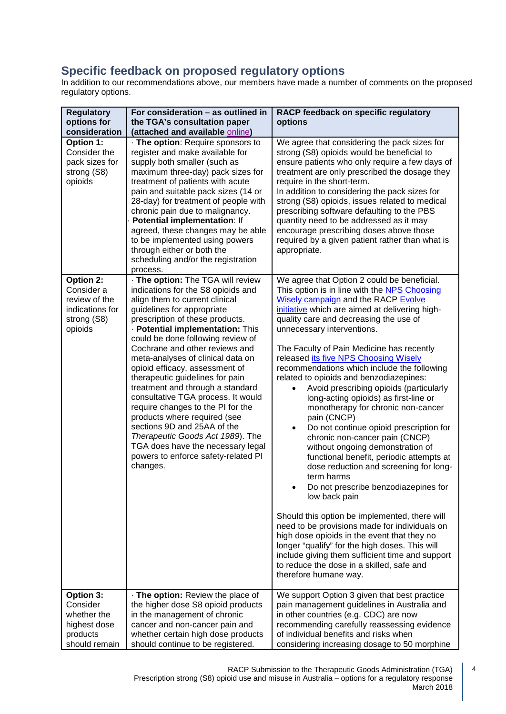# **Specific feedback on proposed regulatory options**

In addition to our recommendations above, our members have made a number of comments on the proposed regulatory options.

| <b>Regulatory</b><br>options for<br>consideration                                     | For consideration - as outlined in<br>the TGA's consultation paper<br>(attached and available online)                                                                                                                                                                                                                                                                                                                                                                                                                                                                                                                                                                                                     | RACP feedback on specific regulatory<br>options                                                                                                                                                                                                                                                                                                                                                                                                                                                                                                                                                                                                                                                                                                                                                                                                                                                                                                                                                                                                                                                                                                                                                                           |
|---------------------------------------------------------------------------------------|-----------------------------------------------------------------------------------------------------------------------------------------------------------------------------------------------------------------------------------------------------------------------------------------------------------------------------------------------------------------------------------------------------------------------------------------------------------------------------------------------------------------------------------------------------------------------------------------------------------------------------------------------------------------------------------------------------------|---------------------------------------------------------------------------------------------------------------------------------------------------------------------------------------------------------------------------------------------------------------------------------------------------------------------------------------------------------------------------------------------------------------------------------------------------------------------------------------------------------------------------------------------------------------------------------------------------------------------------------------------------------------------------------------------------------------------------------------------------------------------------------------------------------------------------------------------------------------------------------------------------------------------------------------------------------------------------------------------------------------------------------------------------------------------------------------------------------------------------------------------------------------------------------------------------------------------------|
| Option 1:<br>Consider the<br>pack sizes for<br>strong (S8)<br>opioids                 | · The option: Require sponsors to<br>register and make available for<br>supply both smaller (such as<br>maximum three-day) pack sizes for<br>treatment of patients with acute<br>pain and suitable pack sizes (14 or<br>28-day) for treatment of people with<br>chronic pain due to malignancy.<br>Potential implementation: If<br>agreed, these changes may be able<br>to be implemented using powers<br>through either or both the<br>scheduling and/or the registration<br>process.                                                                                                                                                                                                                    | We agree that considering the pack sizes for<br>strong (S8) opioids would be beneficial to<br>ensure patients who only require a few days of<br>treatment are only prescribed the dosage they<br>require in the short-term.<br>In addition to considering the pack sizes for<br>strong (S8) opioids, issues related to medical<br>prescribing software defaulting to the PBS<br>quantity need to be addressed as it may<br>encourage prescribing doses above those<br>required by a given patient rather than what is<br>appropriate.                                                                                                                                                                                                                                                                                                                                                                                                                                                                                                                                                                                                                                                                                     |
| Option 2:<br>Consider a<br>review of the<br>indications for<br>strong (S8)<br>opioids | . The option: The TGA will review<br>indications for the S8 opioids and<br>align them to current clinical<br>guidelines for appropriate<br>prescription of these products.<br>· Potential implementation: This<br>could be done following review of<br>Cochrane and other reviews and<br>meta-analyses of clinical data on<br>opioid efficacy, assessment of<br>therapeutic guidelines for pain<br>treatment and through a standard<br>consultative TGA process. It would<br>require changes to the PI for the<br>products where required (see<br>sections 9D and 25AA of the<br>Therapeutic Goods Act 1989). The<br>TGA does have the necessary legal<br>powers to enforce safety-related PI<br>changes. | We agree that Option 2 could be beneficial.<br>This option is in line with the NPS Choosing<br>Wisely campaign and the RACP Evolve<br>initiative which are aimed at delivering high-<br>quality care and decreasing the use of<br>unnecessary interventions.<br>The Faculty of Pain Medicine has recently<br>released its five NPS Choosing Wisely<br>recommendations which include the following<br>related to opioids and benzodiazepines:<br>Avoid prescribing opioids (particularly<br>$\bullet$<br>long-acting opioids) as first-line or<br>monotherapy for chronic non-cancer<br>pain (CNCP)<br>Do not continue opioid prescription for<br>$\bullet$<br>chronic non-cancer pain (CNCP)<br>without ongoing demonstration of<br>functional benefit, periodic attempts at<br>dose reduction and screening for long-<br>term harms<br>Do not prescribe benzodiazepines for<br>low back pain<br>Should this option be implemented, there will<br>need to be provisions made for individuals on<br>high dose opioids in the event that they no<br>longer "qualify" for the high doses. This will<br>include giving them sufficient time and support<br>to reduce the dose in a skilled, safe and<br>therefore humane way. |
| Option 3:<br>Consider<br>whether the<br>highest dose<br>products<br>should remain     | . The option: Review the place of<br>the higher dose S8 opioid products<br>in the management of chronic<br>cancer and non-cancer pain and<br>whether certain high dose products<br>should continue to be registered.                                                                                                                                                                                                                                                                                                                                                                                                                                                                                      | We support Option 3 given that best practice<br>pain management guidelines in Australia and<br>in other countries (e.g. CDC) are now<br>recommending carefully reassessing evidence<br>of individual benefits and risks when<br>considering increasing dosage to 50 morphine                                                                                                                                                                                                                                                                                                                                                                                                                                                                                                                                                                                                                                                                                                                                                                                                                                                                                                                                              |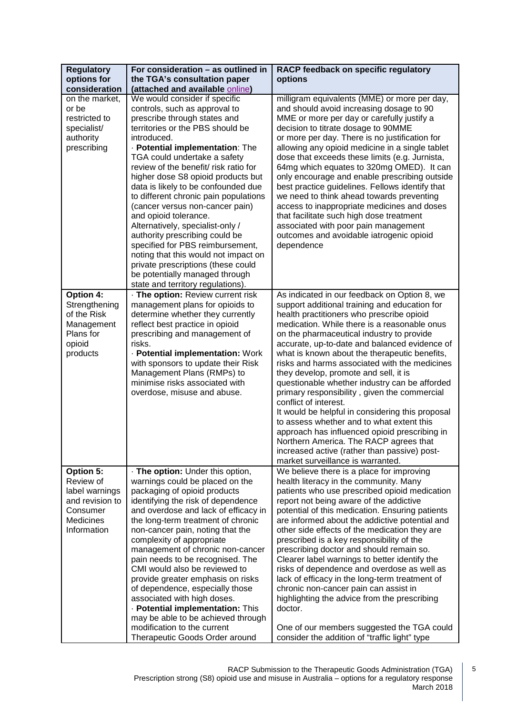| <b>Regulatory</b> | For consideration - as outlined in                                     | RACP feedback on specific regulatory                                                           |
|-------------------|------------------------------------------------------------------------|------------------------------------------------------------------------------------------------|
| options for       | the TGA's consultation paper                                           | options                                                                                        |
| consideration     | (attached and available online)                                        |                                                                                                |
| on the market,    | We would consider if specific                                          | milligram equivalents (MME) or more per day,                                                   |
| or be             | controls, such as approval to                                          | and should avoid increasing dosage to 90                                                       |
| restricted to     | prescribe through states and                                           | MME or more per day or carefully justify a                                                     |
| specialist/       | territories or the PBS should be                                       | decision to titrate dosage to 90MME                                                            |
| authority         | introduced.                                                            | or more per day. There is no justification for                                                 |
| prescribing       | · Potential implementation: The                                        | allowing any opioid medicine in a single tablet                                                |
|                   | TGA could undertake a safety                                           | dose that exceeds these limits (e.g. Jurnista,                                                 |
|                   | review of the benefit/risk ratio for                                   | 64mg which equates to 320mg OMED). It can                                                      |
|                   | higher dose S8 opioid products but                                     | only encourage and enable prescribing outside                                                  |
|                   | data is likely to be confounded due                                    | best practice guidelines. Fellows identify that                                                |
|                   | to different chronic pain populations                                  | we need to think ahead towards preventing                                                      |
|                   | (cancer versus non-cancer pain)                                        | access to inappropriate medicines and doses                                                    |
|                   | and opioid tolerance.                                                  | that facilitate such high dose treatment                                                       |
|                   | Alternatively, specialist-only /                                       | associated with poor pain management                                                           |
|                   | authority prescribing could be                                         | outcomes and avoidable iatrogenic opioid                                                       |
|                   | specified for PBS reimbursement,                                       | dependence                                                                                     |
|                   | noting that this would not impact on                                   |                                                                                                |
|                   | private prescriptions (these could                                     |                                                                                                |
|                   | be potentially managed through                                         |                                                                                                |
|                   | state and territory regulations).                                      |                                                                                                |
| Option 4:         | · The option: Review current risk                                      | As indicated in our feedback on Option 8, we                                                   |
| Strengthening     | management plans for opioids to                                        | support additional training and education for                                                  |
| of the Risk       | determine whether they currently                                       | health practitioners who prescribe opioid                                                      |
| Management        | reflect best practice in opioid                                        | medication. While there is a reasonable onus                                                   |
| Plans for         | prescribing and management of                                          | on the pharmaceutical industry to provide                                                      |
| opioid            | risks.                                                                 | accurate, up-to-date and balanced evidence of                                                  |
| products          | - Potential implementation: Work<br>with sponsors to update their Risk | what is known about the therapeutic benefits,<br>risks and harms associated with the medicines |
|                   | Management Plans (RMPs) to                                             | they develop, promote and sell, it is                                                          |
|                   | minimise risks associated with                                         | questionable whether industry can be afforded                                                  |
|                   | overdose, misuse and abuse.                                            | primary responsibility, given the commercial                                                   |
|                   |                                                                        | conflict of interest.                                                                          |
|                   |                                                                        | It would be helpful in considering this proposal                                               |
|                   |                                                                        | to assess whether and to what extent this                                                      |
|                   |                                                                        | approach has influenced opioid prescribing in                                                  |
|                   |                                                                        | Northern America. The RACP agrees that                                                         |
|                   |                                                                        | increased active (rather than passive) post-                                                   |
|                   |                                                                        | market surveillance is warranted.                                                              |
| Option 5:         | · The option: Under this option,                                       | We believe there is a place for improving                                                      |
| Review of         | warnings could be placed on the                                        | health literacy in the community. Many                                                         |
| label warnings    | packaging of opioid products                                           | patients who use prescribed opioid medication                                                  |
| and revision to   | identifying the risk of dependence                                     | report not being aware of the addictive                                                        |
| Consumer          | and overdose and lack of efficacy in                                   | potential of this medication. Ensuring patients                                                |
| Medicines         | the long-term treatment of chronic                                     | are informed about the addictive potential and                                                 |
| Information       | non-cancer pain, noting that the                                       | other side effects of the medication they are                                                  |
|                   | complexity of appropriate                                              | prescribed is a key responsibility of the                                                      |
|                   | management of chronic non-cancer                                       | prescribing doctor and should remain so.                                                       |
|                   | pain needs to be recognised. The                                       | Clearer label warnings to better identify the                                                  |
|                   | CMI would also be reviewed to                                          | risks of dependence and overdose as well as                                                    |
|                   | provide greater emphasis on risks                                      | lack of efficacy in the long-term treatment of                                                 |
|                   | of dependence, especially those                                        | chronic non-cancer pain can assist in                                                          |
|                   | associated with high doses.                                            | highlighting the advice from the prescribing                                                   |
|                   | · Potential implementation: This                                       | doctor.                                                                                        |
|                   | may be able to be achieved through                                     |                                                                                                |
|                   | modification to the current                                            | One of our members suggested the TGA could                                                     |
|                   | Therapeutic Goods Order around                                         | consider the addition of "traffic light" type                                                  |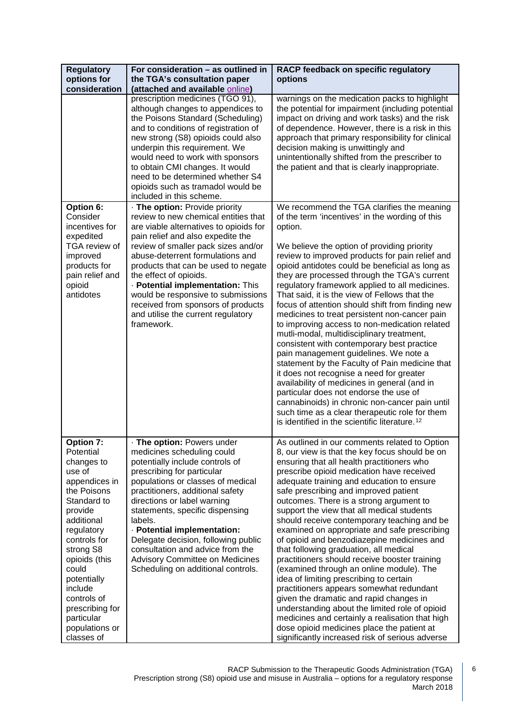| <b>Regulatory</b><br>options for<br>consideration                                                                                                                                                                                                                                                     | For consideration - as outlined in<br>the TGA's consultation paper<br>(attached and available online)                                                                                                                                                                                                                                                                                                                                                                     | RACP feedback on specific regulatory<br>options                                                                                                                                                                                                                                                                                                                                                                                                                                                                                                                                                                                                                                                                                                                                                                                                                                                                                                                                                                                                                     |
|-------------------------------------------------------------------------------------------------------------------------------------------------------------------------------------------------------------------------------------------------------------------------------------------------------|---------------------------------------------------------------------------------------------------------------------------------------------------------------------------------------------------------------------------------------------------------------------------------------------------------------------------------------------------------------------------------------------------------------------------------------------------------------------------|---------------------------------------------------------------------------------------------------------------------------------------------------------------------------------------------------------------------------------------------------------------------------------------------------------------------------------------------------------------------------------------------------------------------------------------------------------------------------------------------------------------------------------------------------------------------------------------------------------------------------------------------------------------------------------------------------------------------------------------------------------------------------------------------------------------------------------------------------------------------------------------------------------------------------------------------------------------------------------------------------------------------------------------------------------------------|
|                                                                                                                                                                                                                                                                                                       | prescription medicines (TGO 91),<br>although changes to appendices to<br>the Poisons Standard (Scheduling)<br>and to conditions of registration of<br>new strong (S8) opioids could also<br>underpin this requirement. We<br>would need to work with sponsors<br>to obtain CMI changes. It would<br>need to be determined whether S4<br>opioids such as tramadol would be<br>included in this scheme.                                                                     | warnings on the medication packs to highlight<br>the potential for impairment (including potential<br>impact on driving and work tasks) and the risk<br>of dependence. However, there is a risk in this<br>approach that primary responsibility for clinical<br>decision making is unwittingly and<br>unintentionally shifted from the prescriber to<br>the patient and that is clearly inappropriate.                                                                                                                                                                                                                                                                                                                                                                                                                                                                                                                                                                                                                                                              |
| Option 6:<br>Consider<br>incentives for<br>expedited<br>TGA review of<br>improved<br>products for<br>pain relief and<br>opioid<br>antidotes                                                                                                                                                           | · The option: Provide priority<br>review to new chemical entities that<br>are viable alternatives to opioids for<br>pain relief and also expedite the<br>review of smaller pack sizes and/or<br>abuse-deterrent formulations and<br>products that can be used to negate<br>the effect of opioids.<br>· Potential implementation: This<br>would be responsive to submissions<br>received from sponsors of products<br>and utilise the current regulatory<br>framework.     | We recommend the TGA clarifies the meaning<br>of the term 'incentives' in the wording of this<br>option.<br>We believe the option of providing priority<br>review to improved products for pain relief and<br>opioid antidotes could be beneficial as long as<br>they are processed through the TGA's current<br>regulatory framework applied to all medicines.<br>That said, it is the view of Fellows that the<br>focus of attention should shift from finding new<br>medicines to treat persistent non-cancer pain<br>to improving access to non-medication related<br>mutli-modal, multidisciplinary treatment,<br>consistent with contemporary best practice<br>pain management guidelines. We note a<br>statement by the Faculty of Pain medicine that<br>it does not recognise a need for greater<br>availability of medicines in general (and in<br>particular does not endorse the use of<br>cannabinoids) in chronic non-cancer pain until<br>such time as a clear therapeutic role for them<br>is identified in the scientific literature. <sup>12</sup> |
| Option 7:<br>Potential<br>changes to<br>use of<br>appendices in<br>the Poisons<br>Standard to<br>provide<br>additional<br>regulatory<br>controls for<br>strong S8<br>opioids (this<br>could<br>potentially<br>include<br>controls of<br>prescribing for<br>particular<br>populations or<br>classes of | · The option: Powers under<br>medicines scheduling could<br>potentially include controls of<br>prescribing for particular<br>populations or classes of medical<br>practitioners, additional safety<br>directions or label warning<br>statements, specific dispensing<br>labels.<br>- Potential implementation:<br>Delegate decision, following public<br>consultation and advice from the<br><b>Advisory Committee on Medicines</b><br>Scheduling on additional controls. | As outlined in our comments related to Option<br>8, our view is that the key focus should be on<br>ensuring that all health practitioners who<br>prescribe opioid medication have received<br>adequate training and education to ensure<br>safe prescribing and improved patient<br>outcomes. There is a strong argument to<br>support the view that all medical students<br>should receive contemporary teaching and be<br>examined on appropriate and safe prescribing<br>of opioid and benzodiazepine medicines and<br>that following graduation, all medical<br>practitioners should receive booster training<br>(examined through an online module). The<br>idea of limiting prescribing to certain<br>practitioners appears somewhat redundant<br>given the dramatic and rapid changes in<br>understanding about the limited role of opioid<br>medicines and certainly a realisation that high<br>dose opioid medicines place the patient at<br>significantly increased risk of serious adverse                                                               |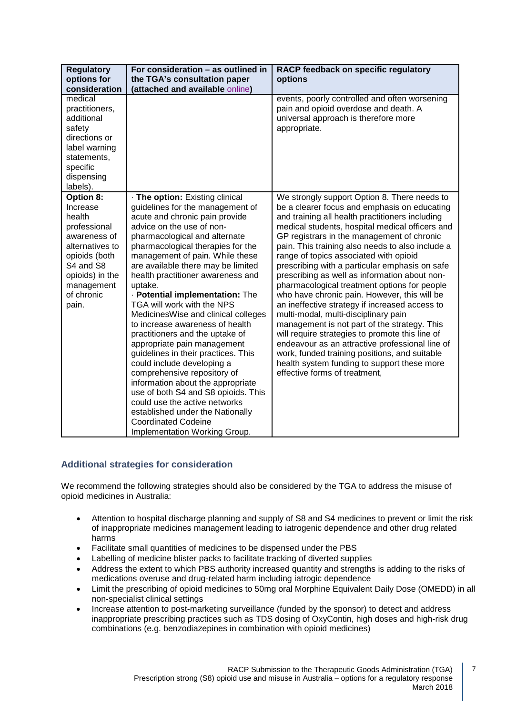| <b>Regulatory</b><br>options for<br>consideration                                                                                                                        | For consideration - as outlined in<br>the TGA's consultation paper<br>(attached and available online)                                                                                                                                                                                                                                                                                                                                                                                                                                                                                                                                                                                                                                                                                                                                                               | RACP feedback on specific regulatory<br>options                                                                                                                                                                                                                                                                                                                                                                                                                                                                                                                                                                                                                                                                                                                                                                                                                                                                                    |
|--------------------------------------------------------------------------------------------------------------------------------------------------------------------------|---------------------------------------------------------------------------------------------------------------------------------------------------------------------------------------------------------------------------------------------------------------------------------------------------------------------------------------------------------------------------------------------------------------------------------------------------------------------------------------------------------------------------------------------------------------------------------------------------------------------------------------------------------------------------------------------------------------------------------------------------------------------------------------------------------------------------------------------------------------------|------------------------------------------------------------------------------------------------------------------------------------------------------------------------------------------------------------------------------------------------------------------------------------------------------------------------------------------------------------------------------------------------------------------------------------------------------------------------------------------------------------------------------------------------------------------------------------------------------------------------------------------------------------------------------------------------------------------------------------------------------------------------------------------------------------------------------------------------------------------------------------------------------------------------------------|
| medical<br>practitioners,<br>additional<br>safety<br>directions or<br>label warning<br>statements,<br>specific<br>dispensing<br>labels).                                 |                                                                                                                                                                                                                                                                                                                                                                                                                                                                                                                                                                                                                                                                                                                                                                                                                                                                     | events, poorly controlled and often worsening<br>pain and opioid overdose and death. A<br>universal approach is therefore more<br>appropriate.                                                                                                                                                                                                                                                                                                                                                                                                                                                                                                                                                                                                                                                                                                                                                                                     |
| Option 8:<br>Increase<br>health<br>professional<br>awareness of<br>alternatives to<br>opioids (both<br>S4 and S8<br>opioids) in the<br>management<br>of chronic<br>pain. | · The option: Existing clinical<br>guidelines for the management of<br>acute and chronic pain provide<br>advice on the use of non-<br>pharmacological and alternate<br>pharmacological therapies for the<br>management of pain. While these<br>are available there may be limited<br>health practitioner awareness and<br>uptake.<br>· Potential implementation: The<br>TGA will work with the NPS<br>Medicines Wise and clinical colleges<br>to increase awareness of health<br>practitioners and the uptake of<br>appropriate pain management<br>guidelines in their practices. This<br>could include developing a<br>comprehensive repository of<br>information about the appropriate<br>use of both S4 and S8 opioids. This<br>could use the active networks<br>established under the Nationally<br><b>Coordinated Codeine</b><br>Implementation Working Group. | We strongly support Option 8. There needs to<br>be a clearer focus and emphasis on educating<br>and training all health practitioners including<br>medical students, hospital medical officers and<br>GP registrars in the management of chronic<br>pain. This training also needs to also include a<br>range of topics associated with opioid<br>prescribing with a particular emphasis on safe<br>prescribing as well as information about non-<br>pharmacological treatment options for people<br>who have chronic pain. However, this will be<br>an ineffective strategy if increased access to<br>multi-modal, multi-disciplinary pain<br>management is not part of the strategy. This<br>will require strategies to promote this line of<br>endeavour as an attractive professional line of<br>work, funded training positions, and suitable<br>health system funding to support these more<br>effective forms of treatment, |

### **Additional strategies for consideration**

We recommend the following strategies should also be considered by the TGA to address the misuse of opioid medicines in Australia:

- Attention to hospital discharge planning and supply of S8 and S4 medicines to prevent or limit the risk of inappropriate medicines management leading to iatrogenic dependence and other drug related harms
- Facilitate small quantities of medicines to be dispensed under the PBS
- Labelling of medicine blister packs to facilitate tracking of diverted supplies
- Address the extent to which PBS authority increased quantity and strengths is adding to the risks of medications overuse and drug-related harm including iatrogic dependence
- Limit the prescribing of opioid medicines to 50mg oral Morphine Equivalent Daily Dose (OMEDD) in all non-specialist clinical settings
- Increase attention to post-marketing surveillance (funded by the sponsor) to detect and address inappropriate prescribing practices such as TDS dosing of OxyContin, high doses and high-risk drug combinations (e.g. benzodiazepines in combination with opioid medicines)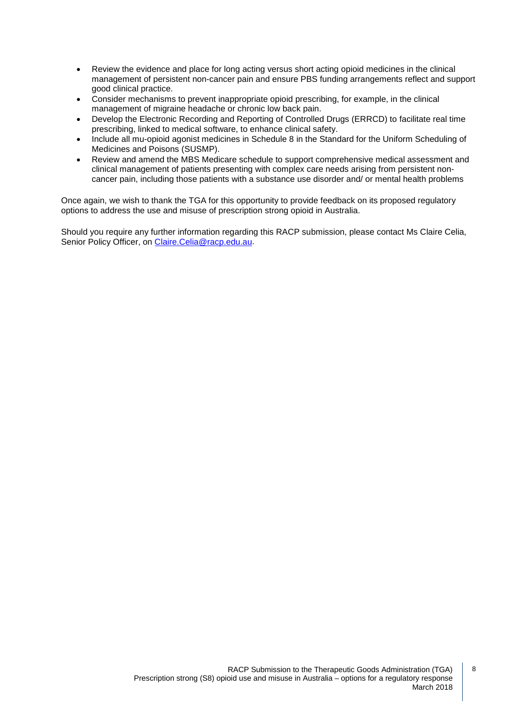- Review the evidence and place for long acting versus short acting opioid medicines in the clinical management of persistent non-cancer pain and ensure PBS funding arrangements reflect and support good clinical practice.
- Consider mechanisms to prevent inappropriate opioid prescribing, for example, in the clinical management of migraine headache or chronic low back pain.
- Develop the Electronic Recording and Reporting of Controlled Drugs (ERRCD) to facilitate real time prescribing, linked to medical software, to enhance clinical safety.
- Include all mu-opioid agonist medicines in Schedule 8 in the Standard for the Uniform Scheduling of Medicines and Poisons (SUSMP).
- Review and amend the MBS Medicare schedule to support comprehensive medical assessment and clinical management of patients presenting with complex care needs arising from persistent noncancer pain, including those patients with a substance use disorder and/ or mental health problems

Once again, we wish to thank the TGA for this opportunity to provide feedback on its proposed regulatory options to address the use and misuse of prescription strong opioid in Australia.

Should you require any further information regarding this RACP submission, please contact Ms Claire Celia, Senior Policy Officer, on [Claire.Celia@racp.edu.au.](mailto:Claire.Celia@racp.edu.au)